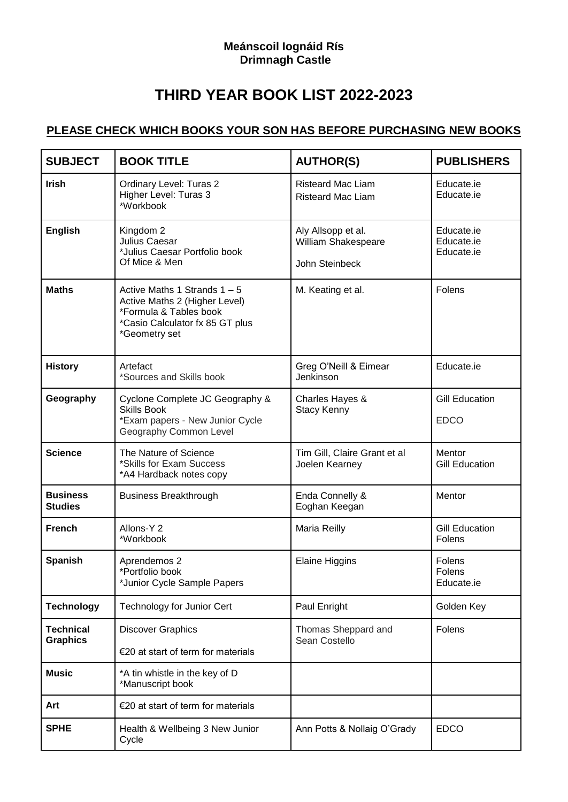## **Meánscoil Iognáid Rís Drimnagh Castle**

## **THIRD YEAR BOOK LIST 2022-2023**

## **PLEASE CHECK WHICH BOOKS YOUR SON HAS BEFORE PURCHASING NEW BOOKS**

| <b>SUBJECT</b>                      | <b>BOOK TITLE</b>                                                                                                                             | <b>AUTHOR(S)</b>                                            | <b>PUBLISHERS</b>                      |
|-------------------------------------|-----------------------------------------------------------------------------------------------------------------------------------------------|-------------------------------------------------------------|----------------------------------------|
| <b>Irish</b>                        | Ordinary Level: Turas 2<br>Higher Level: Turas 3<br>*Workbook                                                                                 | <b>Risteard Mac Liam</b><br><b>Risteard Mac Liam</b>        | Educate.ie<br>Educate.ie               |
| <b>English</b>                      | Kingdom 2<br>Julius Caesar<br>*Julius Caesar Portfolio book<br>Of Mice & Men                                                                  | Aly Allsopp et al.<br>William Shakespeare<br>John Steinbeck | Educate.ie<br>Educate.ie<br>Educate.ie |
| <b>Maths</b>                        | Active Maths 1 Strands $1 - 5$<br>Active Maths 2 (Higher Level)<br>*Formula & Tables book<br>*Casio Calculator fx 85 GT plus<br>*Geometry set | M. Keating et al.                                           | Folens                                 |
| <b>History</b>                      | Artefact<br>*Sources and Skills book                                                                                                          | Greg O'Neill & Eimear<br>Jenkinson                          | Educate.ie                             |
| Geography                           | Cyclone Complete JC Geography &<br><b>Skills Book</b><br>*Exam papers - New Junior Cycle<br>Geography Common Level                            | Charles Hayes &<br><b>Stacy Kenny</b>                       | <b>Gill Education</b><br><b>EDCO</b>   |
| <b>Science</b>                      | The Nature of Science<br>*Skills for Exam Success<br>*A4 Hardback notes copy                                                                  | Tim Gill, Claire Grant et al<br>Joelen Kearney              | Mentor<br><b>Gill Education</b>        |
| <b>Business</b><br><b>Studies</b>   | <b>Business Breakthrough</b>                                                                                                                  | Enda Connelly &<br>Eoghan Keegan                            | Mentor                                 |
| <b>French</b>                       | Allons-Y 2<br>*Workbook                                                                                                                       | Maria Reilly                                                | <b>Gill Education</b><br>Folens        |
| <b>Spanish</b>                      | Aprendemos 2<br>*Portfolio book<br>*Junior Cycle Sample Papers                                                                                | <b>Elaine Higgins</b>                                       | Folens<br>Folens<br>Educate.ie         |
| <b>Technology</b>                   | <b>Technology for Junior Cert</b>                                                                                                             | Paul Enright                                                | Golden Key                             |
| <b>Technical</b><br><b>Graphics</b> | <b>Discover Graphics</b><br>€20 at start of term for materials                                                                                | Thomas Sheppard and<br>Sean Costello                        | Folens                                 |
| <b>Music</b>                        | *A tin whistle in the key of D<br>*Manuscript book                                                                                            |                                                             |                                        |
| Art                                 | €20 at start of term for materials                                                                                                            |                                                             |                                        |
| <b>SPHE</b>                         | Health & Wellbeing 3 New Junior<br>Cycle                                                                                                      | Ann Potts & Nollaig O'Grady                                 | <b>EDCO</b>                            |